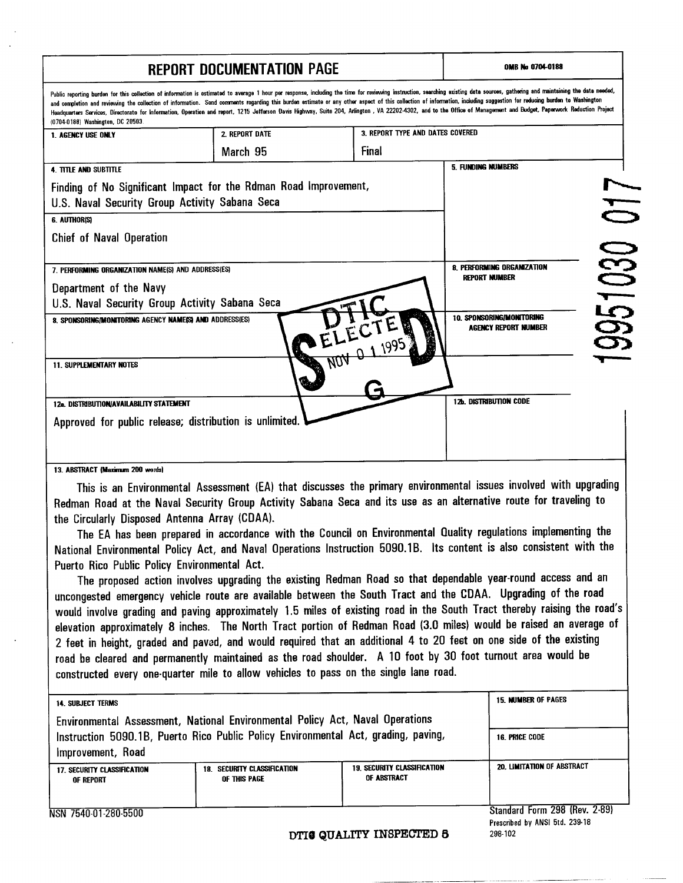## **REPORT DOCUMENTATION PAGE Notified A 2704-0189**

| KEPUKI UULUMENIAIIUN PAGE                                                          |                                                                                                                                                                                                                                                                                                                                                                                                                                                                                                                                                                                                                                                                                   |                                    |                            |        |
|------------------------------------------------------------------------------------|-----------------------------------------------------------------------------------------------------------------------------------------------------------------------------------------------------------------------------------------------------------------------------------------------------------------------------------------------------------------------------------------------------------------------------------------------------------------------------------------------------------------------------------------------------------------------------------------------------------------------------------------------------------------------------------|------------------------------------|----------------------------|--------|
| (0704-0188) Washington, DC 20503.                                                  | Public reporting burden for this collection of information is estimated to average 1 hour per response, including the time for reviewing instruction, searching suisting data sources, gathering and maintaining the data need<br>and completion and reviewing the collection of information. Send comments regarding this burden estimate or any other aspect of this collection of information, including suggestion for reducing burden to Washington<br>Headquarters Services, Directorate for Information, Operation and report, 1215 Jefferson Davis Highway, Suite 204, Arlington , VA 22202-4302, and to the Office of Management and Budget, Paperwork Reduction Project |                                    |                            |        |
| 1. AGENCY USE ONLY                                                                 | 2. REPORT DATE                                                                                                                                                                                                                                                                                                                                                                                                                                                                                                                                                                                                                                                                    | 3. REPORT TYPE AND DATES COVERED   |                            |        |
|                                                                                    | March 95                                                                                                                                                                                                                                                                                                                                                                                                                                                                                                                                                                                                                                                                          | Final                              |                            |        |
| <b>4. TITLE AND SUBTITLE</b>                                                       |                                                                                                                                                                                                                                                                                                                                                                                                                                                                                                                                                                                                                                                                                   |                                    | 5. FUNDING NUMBERS         |        |
|                                                                                    | Finding of No Significant Impact for the Rdman Road Improvement,                                                                                                                                                                                                                                                                                                                                                                                                                                                                                                                                                                                                                  |                                    |                            |        |
| U.S. Naval Security Group Activity Sabana Seca                                     |                                                                                                                                                                                                                                                                                                                                                                                                                                                                                                                                                                                                                                                                                   |                                    |                            |        |
| 6. AUTHORISI                                                                       |                                                                                                                                                                                                                                                                                                                                                                                                                                                                                                                                                                                                                                                                                   |                                    |                            | 017    |
| <b>Chief of Naval Operation</b>                                                    |                                                                                                                                                                                                                                                                                                                                                                                                                                                                                                                                                                                                                                                                                   |                                    |                            |        |
|                                                                                    |                                                                                                                                                                                                                                                                                                                                                                                                                                                                                                                                                                                                                                                                                   |                                    |                            |        |
| 7. PERFORMING ORGANIZATION NAME(S) AND ADDRESS(ES)                                 |                                                                                                                                                                                                                                                                                                                                                                                                                                                                                                                                                                                                                                                                                   |                                    | 8. PERFORMING ORGANIZATION | 951030 |
| Department of the Navy                                                             |                                                                                                                                                                                                                                                                                                                                                                                                                                                                                                                                                                                                                                                                                   |                                    | REPORT NUMBER              |        |
| U.S. Naval Security Group Activity Sabana Seca                                     |                                                                                                                                                                                                                                                                                                                                                                                                                                                                                                                                                                                                                                                                                   |                                    |                            |        |
| 8. SPONSORING/MONITORING AGENCY NAME(S) AND ADDRESS(ES)                            |                                                                                                                                                                                                                                                                                                                                                                                                                                                                                                                                                                                                                                                                                   |                                    | 10. SPONSORING/MONITORING  |        |
|                                                                                    |                                                                                                                                                                                                                                                                                                                                                                                                                                                                                                                                                                                                                                                                                   |                                    | AGENCY REPORT NUMBER       |        |
|                                                                                    |                                                                                                                                                                                                                                                                                                                                                                                                                                                                                                                                                                                                                                                                                   | 1995                               |                            |        |
| <b>11. SUPPLEMENTARY NOTES</b>                                                     |                                                                                                                                                                                                                                                                                                                                                                                                                                                                                                                                                                                                                                                                                   |                                    |                            |        |
|                                                                                    |                                                                                                                                                                                                                                                                                                                                                                                                                                                                                                                                                                                                                                                                                   |                                    |                            |        |
| 12a. DISTRIBUTION/AVAILABILITY STATEMENT                                           |                                                                                                                                                                                                                                                                                                                                                                                                                                                                                                                                                                                                                                                                                   |                                    | 12b. Distribution code     |        |
| Approved for public release; distribution is unlimited.                            |                                                                                                                                                                                                                                                                                                                                                                                                                                                                                                                                                                                                                                                                                   |                                    |                            |        |
|                                                                                    |                                                                                                                                                                                                                                                                                                                                                                                                                                                                                                                                                                                                                                                                                   |                                    |                            |        |
|                                                                                    |                                                                                                                                                                                                                                                                                                                                                                                                                                                                                                                                                                                                                                                                                   |                                    |                            |        |
| 13. ABSTRACT (Maximum 200 words)                                                   |                                                                                                                                                                                                                                                                                                                                                                                                                                                                                                                                                                                                                                                                                   |                                    |                            |        |
|                                                                                    | This is an Environmental Assessment (EA) that discusses the primary environmental issues involved with upgrading                                                                                                                                                                                                                                                                                                                                                                                                                                                                                                                                                                  |                                    |                            |        |
|                                                                                    | Redman Road at the Naval Security Group Activity Sabana Seca and its use as an alternative route for traveling to                                                                                                                                                                                                                                                                                                                                                                                                                                                                                                                                                                 |                                    |                            |        |
| the Circularly Disposed Antenna Array (CDAA).                                      |                                                                                                                                                                                                                                                                                                                                                                                                                                                                                                                                                                                                                                                                                   |                                    |                            |        |
|                                                                                    | The EA has been prepared in accordance with the Council on Environmental Quality regulations implementing the                                                                                                                                                                                                                                                                                                                                                                                                                                                                                                                                                                     |                                    |                            |        |
|                                                                                    | National Environmental Policy Act, and Naval Operations Instruction 5090.1B. Its content is also consistent with the                                                                                                                                                                                                                                                                                                                                                                                                                                                                                                                                                              |                                    |                            |        |
| Puerto Rico Public Policy Environmental Act.                                       |                                                                                                                                                                                                                                                                                                                                                                                                                                                                                                                                                                                                                                                                                   |                                    |                            |        |
|                                                                                    | The proposed action involves upgrading the existing Redman Road so that dependable year-round access and an                                                                                                                                                                                                                                                                                                                                                                                                                                                                                                                                                                       |                                    |                            |        |
|                                                                                    | uncongested emergency vehicle route are available between the South Tract and the CDAA. Upgrading of the road                                                                                                                                                                                                                                                                                                                                                                                                                                                                                                                                                                     |                                    |                            |        |
|                                                                                    | would involve grading and paving approximately 1.5 miles of existing road in the South Tract thereby raising the road's                                                                                                                                                                                                                                                                                                                                                                                                                                                                                                                                                           |                                    |                            |        |
|                                                                                    | elevation approximately 8 inches. The North Tract portion of Redman Road (3.0 miles) would be raised an average of                                                                                                                                                                                                                                                                                                                                                                                                                                                                                                                                                                |                                    |                            |        |
|                                                                                    | 2 feet in height, graded and paved, and would required that an additional 4 to 20 feet on one side of the existing                                                                                                                                                                                                                                                                                                                                                                                                                                                                                                                                                                |                                    |                            |        |
|                                                                                    | road be cleared and permanently maintained as the road shoulder. A 10 foot by 30 foot turnout area would be                                                                                                                                                                                                                                                                                                                                                                                                                                                                                                                                                                       |                                    |                            |        |
|                                                                                    | constructed every one-quarter mile to allow vehicles to pass on the single lane road.                                                                                                                                                                                                                                                                                                                                                                                                                                                                                                                                                                                             |                                    |                            |        |
|                                                                                    |                                                                                                                                                                                                                                                                                                                                                                                                                                                                                                                                                                                                                                                                                   |                                    |                            |        |
| 14. SUBJECT TERMS                                                                  |                                                                                                                                                                                                                                                                                                                                                                                                                                                                                                                                                                                                                                                                                   |                                    | <b>15. NUMBER OF PAGES</b> |        |
| Environmental Assessment, National Environmental Policy Act, Naval Operations      |                                                                                                                                                                                                                                                                                                                                                                                                                                                                                                                                                                                                                                                                                   |                                    |                            |        |
| Instruction 5090.1B, Puerto Rico Public Policy Environmental Act, grading, paving, |                                                                                                                                                                                                                                                                                                                                                                                                                                                                                                                                                                                                                                                                                   |                                    | 16. PRICE CODE             |        |
| Improvement, Road                                                                  |                                                                                                                                                                                                                                                                                                                                                                                                                                                                                                                                                                                                                                                                                   |                                    |                            |        |
| 17. SECURITY CLASSIFICATION                                                        | 18. SECURITY CLASSIFICATION                                                                                                                                                                                                                                                                                                                                                                                                                                                                                                                                                                                                                                                       | <b>19. SECURITY CLASSIFICATION</b> | 20. LIMITATION OF ABSTRACT |        |
| of Report                                                                          | OF THIS PAGE                                                                                                                                                                                                                                                                                                                                                                                                                                                                                                                                                                                                                                                                      | OF ABSTRACT                        |                            |        |

NSN 7540-01-280-5500

Standard Form 298 (Rev. 2-89) **Prescribed by ANSI 5td. 239-18 298-102**

**DTI8 QUALITY INSPECTED 8**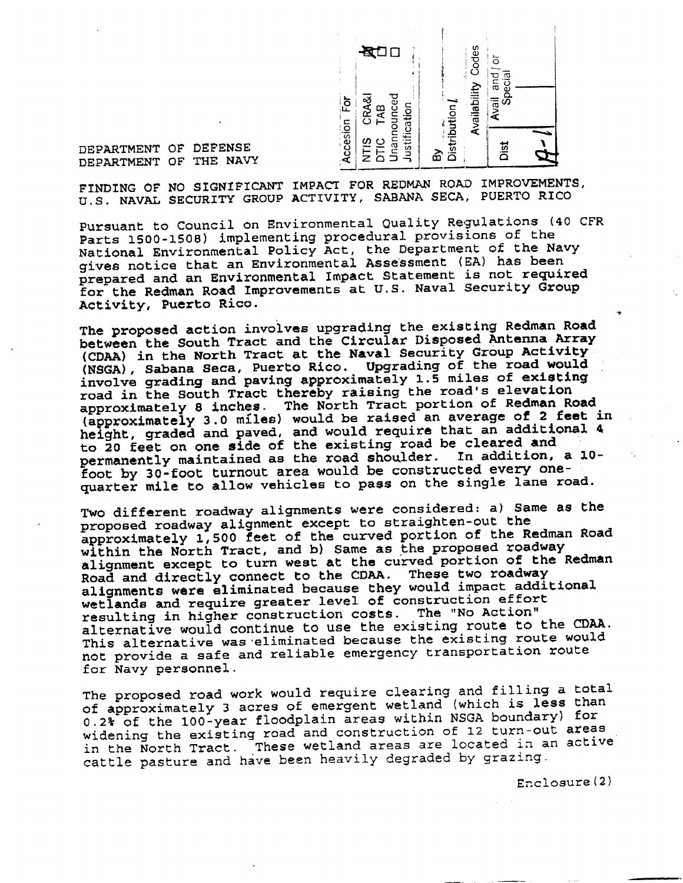

DEPARTMENT OF DEFENSE DEPARTMENT OF THE NAVY

FINDING OF NO SIGNIFICANT IMPACT FOR REDMAN ROAD IMPROVEMENTS, U.S. NAVAL SECURITY GROUP ACTIVITY, SABANA SECA, PUERTO RICO

Pursuant to Council on Environmental Quality Regulations (40 CFR Parts 1500-1508) implementing procedural provisions of the National Environmental Policy Act, the Department of the Navy gives notice that an Environmental Assessment (EA) has been prepared and an Environmental Impact Statement is not required for the Redman Road Improvements at U.S. Naval Security Group Activity, Puerto Rico.

The proposed action involves upgrading the existing Redman Road between the South Tract and the Circular Disposed Antenna Array (CDAA) in the North Tract at the Naval Security Group Activity (NSGA), Sabana Seca, Puerto Rico. Upgrading of the road would involve grading and paving approximately 1.5 miles of existing road in the South Tract thereby raising the road's elevation approximately 8 inches. The North Tract portion of Redman Road (approximately 3.0 miles) would be raised an average of 2 feet in height, graded and paved, and would require that an additional 4 to 20 feet on one side of the existing road be cleared and permanently maintained as the road shoulder. In addition, a 10foot by 30-foot turnout area would be constructed every onequarter mile to allow vehicles to pass on the single lane road.

Two different roadway alignments were considered: a) Same as the proposed roadway alignment except to straighten-out the approximately 1,500 feet of the curved portion of the Redman Road within the North Tract, and b) Same as the proposed roadway alignment except to turn west at the curved portion of the Redman Road and directly connect to the CDAA. These two roadway alignments were eliminated because they would impact additional wetlands and require greater level of construction effort resulting in higher construction costs. The "No Action" alternative would continue to use the existing route to the CDAA. This alternative was eliminated because the existing route would not provide a safe and reliable emergency transportation route for Navy personnel.

The proposed road work would require clearing and filling a total of approximately <sup>3</sup> acres of emergent wetland (which is less than 0.2% of the 100-year floodplain areas within NSGA boundary) for widening the existing road and construction of 12 turn-out areas in the North Tract. These wetland areas are located in an active cattle pasture and have been heavily degraded by grazing.

Enclosure(2)